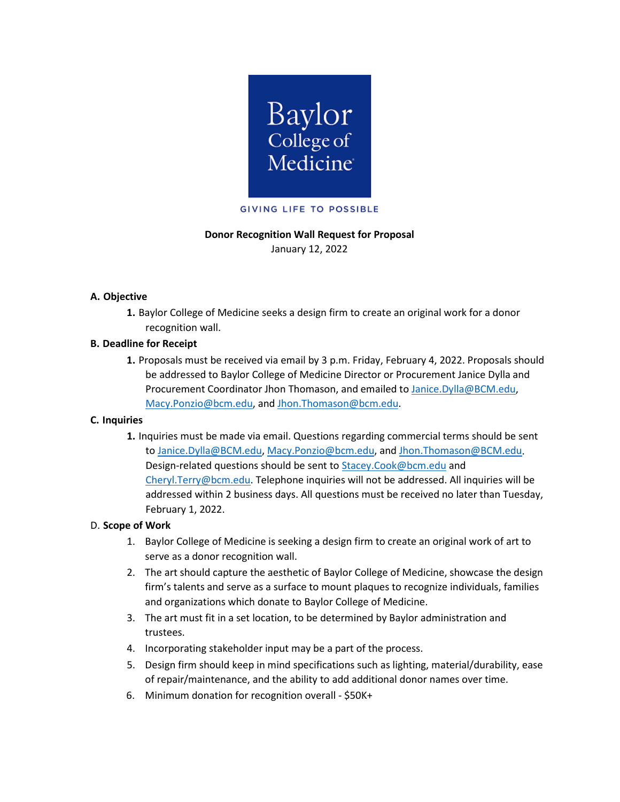

# **Donor Recognition Wall Request for Proposal**

January 12, 2022

# **A. Objective**

**1.** Baylor College of Medicine seeks a design firm to create an original work for a donor recognition wall.

### **B. Deadline for Receipt**

**1.** Proposals must be received via email by 3 p.m. Friday, February 4, 2022. Proposals should be addressed to Baylor College of Medicine Director or Procurement Janice Dylla and Procurement Coordinator Jhon Thomason, and emailed t[o Janice.Dylla@BCM.edu,](mailto:Janice.Dylla@BCM.edu) [Macy.Ponzio@bcm.edu,](mailto:Macy.Ponzio@bcm.edu) and [Jhon.Thomason@bcm.edu.](mailto:Jhon.Thomason@bcm.edu)

#### **C. Inquiries**

**1.** Inquiries must be made via email. Questions regarding commercial terms should be sent to [Janice.Dylla@BCM.edu,](mailto:Janice.Dylla@BCM.edu) [Macy.Ponzio@bcm.edu,](mailto:Macy.Ponzio@bcm.edu) and [Jhon.Thomason@BCM.edu.](mailto:Jhon.Thomason@BCM.edu) Design-related questions should be sent t[o Stacey.Cook@bcm.edu](mailto:Stacey.Cook@bcm.edu) and [Cheryl.Terry@bcm.edu.](mailto:Cheryl.Terry@bcm.edu) Telephone inquiries will not be addressed. All inquiries will be addressed within 2 business days. All questions must be received no later than Tuesday, February 1, 2022.

# D. **Scope of Work**

- 1. Baylor College of Medicine is seeking a design firm to create an original work of art to serve as a donor recognition wall.
- 2. The art should capture the aesthetic of Baylor College of Medicine, showcase the design firm's talents and serve as a surface to mount plaques to recognize individuals, families and organizations which donate to Baylor College of Medicine.
- 3. The art must fit in a set location, to be determined by Baylor administration and trustees.
- 4. Incorporating stakeholder input may be a part of the process.
- 5. Design firm should keep in mind specifications such as lighting, material/durability, ease of repair/maintenance, and the ability to add additional donor names over time.
- 6. Minimum donation for recognition overall \$50K+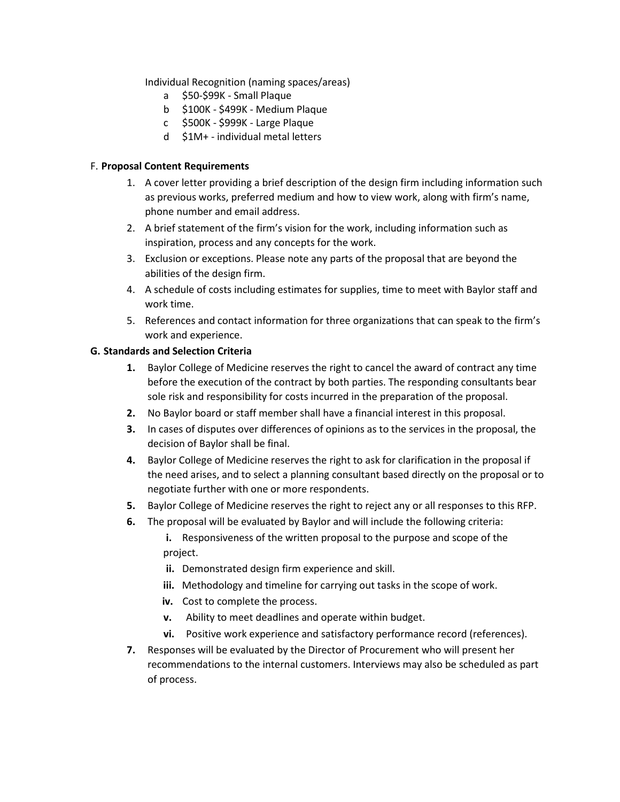Individual Recognition (naming spaces/areas)

- a \$50-\$99K Small Plaque
- b \$100K \$499K Medium Plaque
- c \$500K \$999K Large Plaque
- d \$1M+ individual metal letters

### F. **Proposal Content Requirements**

- 1. A cover letter providing a brief description of the design firm including information such as previous works, preferred medium and how to view work, along with firm's name, phone number and email address.
- 2. A brief statement of the firm's vision for the work, including information such as inspiration, process and any concepts for the work.
- 3. Exclusion or exceptions. Please note any parts of the proposal that are beyond the abilities of the design firm.
- 4. A schedule of costs including estimates for supplies, time to meet with Baylor staff and work time.
- 5. References and contact information for three organizations that can speak to the firm's work and experience.

### **G. Standards and Selection Criteria**

- **1.** Baylor College of Medicine reserves the right to cancel the award of contract any time before the execution of the contract by both parties. The responding consultants bear sole risk and responsibility for costs incurred in the preparation of the proposal.
- **2.** No Baylor board or staff member shall have a financial interest in this proposal.
- **3.** In cases of disputes over differences of opinions as to the services in the proposal, the decision of Baylor shall be final.
- **4.** Baylor College of Medicine reserves the right to ask for clarification in the proposal if the need arises, and to select a planning consultant based directly on the proposal or to negotiate further with one or more respondents.
- **5.** Baylor College of Medicine reserves the right to reject any or all responses to this RFP.
- **6.** The proposal will be evaluated by Baylor and will include the following criteria:
	- **i.** Responsiveness of the written proposal to the purpose and scope of the project.
	- **ii.** Demonstrated design firm experience and skill.
	- **iii.** Methodology and timeline for carrying out tasks in the scope of work.
	- iv. Cost to complete the process.
	- **v.** Ability to meet deadlines and operate within budget.
	- **vi.** Positive work experience and satisfactory performance record (references).
- **7.** Responses will be evaluated by the Director of Procurement who will present her recommendations to the internal customers. Interviews may also be scheduled as part of process.